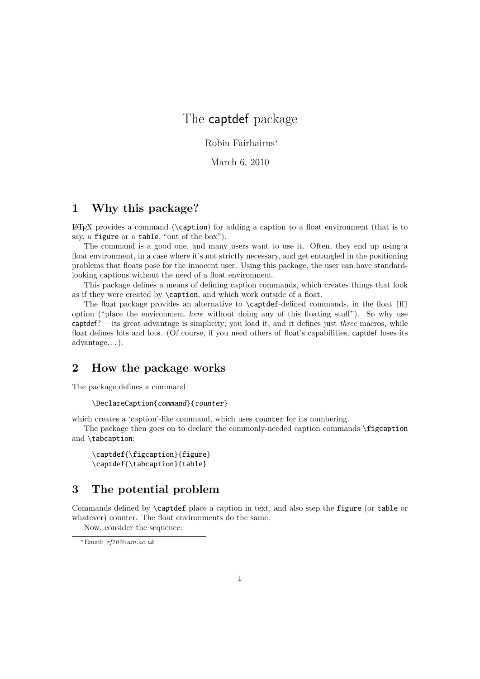## The captdef package

Robin Fairbairns*<sup>∗</sup>*

March 6, 2010

## **1 Why this package?**

 $\Delta$ ET<sub>EX</sub> provides a command (\caption) for adding a caption to a float environment (that is to say, a figure or a table, "out of the box").

The command is a good one, and many users want to use it. Often, they end up using a float environment, in a case where it's not strictly necessary, and get entangled in the positioning problems that floats pose for the innocent user. Using this package, the user can have standardlooking captions without the need of a float environment.

This package defines a means of defining caption commands, which creates things that look as if they were created by \caption, and which work outside of a float.

The float package provides an alternative to \captdef-defined commands, in the float [H] option ("place the environment *here* without doing any of this floating stuff"). So why use captdef? — its great advantage is simplicity; you load it, and it defines just *three* macros, while float defines lots and lots. (Of course, if you need others of float's capabilities, captdef loses its advantage. . . ).

## **2 How the package works**

The package defines a command

```
\DeclareCaption{command}{counter}
```
which creates a 'caption'-like command, which uses **counter** for its numbering.

The package then goes on to declare the commonly-needed caption commands \figcaption and \tabcaption:

```
\captdef{\figcaption}{figure}
\captdef{\tabcaption}{table}
```
## **3 The potential problem**

Commands defined by \captdef place a caption in text, and also step the figure (or table or whatever) counter. The float environments do the same.

Now, consider the sequence:

*<sup>∗</sup>*Email: *rf10@cam.ac.uk*